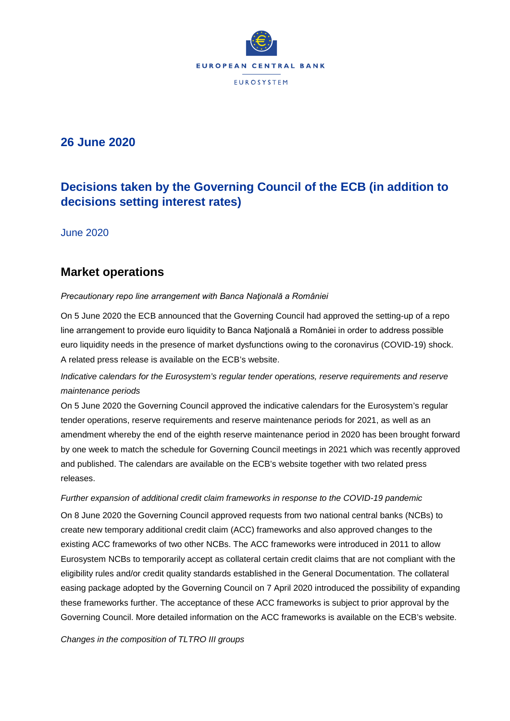

## **26 June 2020**

# **Decisions taken by the Governing Council of the ECB (in addition to decisions setting interest rates)**

June 2020

### **Market operations**

### *Precautionary repo line arrangement with Banca Naţională a României*

On 5 June 2020 the ECB announced that the Governing Council had approved the setting-up of a repo line arrangement to provide euro liquidity to Banca Naţională a României in order to address possible euro liquidity needs in the presence of market dysfunctions owing to the coronavirus (COVID-19) shock. A related press release is available on the ECB's website.

### *Indicative calendars for the Eurosystem's regular tender operations, reserve requirements and reserve maintenance periods*

On 5 June 2020 the Governing Council approved the indicative calendars for the Eurosystem's regular tender operations, reserve requirements and reserve maintenance periods for 2021, as well as an amendment whereby the end of the eighth reserve maintenance period in 2020 has been brought forward by one week to match the schedule for Governing Council meetings in 2021 which was recently approved and published. The calendars are available on the ECB's website together with two related press releases.

#### *Further expansion of additional credit claim frameworks in response to the COVID-19 pandemic*

On 8 June 2020 the Governing Council approved requests from two national central banks (NCBs) to create new temporary additional credit claim (ACC) frameworks and also approved changes to the existing ACC frameworks of two other NCBs. The ACC frameworks were introduced in 2011 to allow Eurosystem NCBs to temporarily accept as collateral certain credit claims that are not compliant with the eligibility rules and/or credit quality standards established in the General Documentation. The collateral easing package adopted by the Governing Council on 7 April 2020 introduced the possibility of expanding these frameworks further. The acceptance of these ACC frameworks is subject to prior approval by the Governing Council. More detailed information on the ACC frameworks is available on the ECB's website.

*Changes in the composition of TLTRO III groups*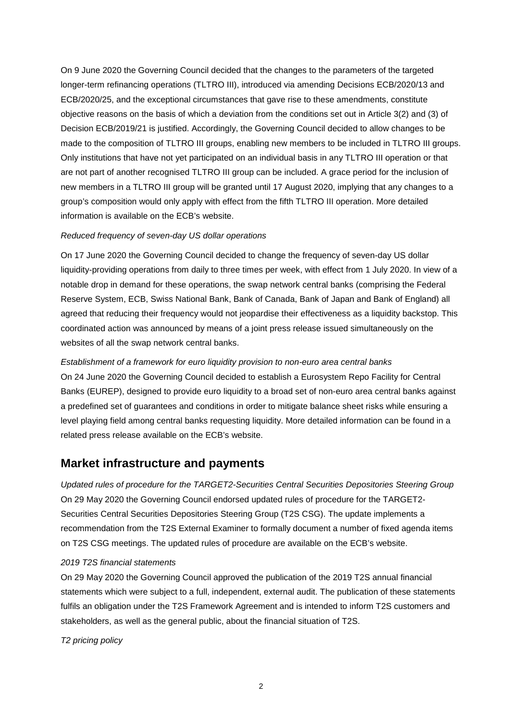On 9 June 2020 the Governing Council decided that the changes to the parameters of the targeted longer-term refinancing operations (TLTRO III), introduced via amending Decisions ECB/2020/13 and ECB/2020/25, and the exceptional circumstances that gave rise to these amendments, constitute objective reasons on the basis of which a deviation from the conditions set out in Article 3(2) and (3) of Decision ECB/2019/21 is justified. Accordingly, the Governing Council decided to allow changes to be made to the composition of TLTRO III groups, enabling new members to be included in TLTRO III groups. Only institutions that have not yet participated on an individual basis in any TLTRO III operation or that are not part of another recognised TLTRO III group can be included. A grace period for the inclusion of new members in a TLTRO III group will be granted until 17 August 2020, implying that any changes to a group's composition would only apply with effect from the fifth TLTRO III operation. More detailed information is available on the ECB's website.

### *Reduced frequency of seven-day US dollar operations*

On 17 June 2020 the Governing Council decided to change the frequency of seven-day US dollar liquidity-providing operations from daily to three times per week, with effect from 1 July 2020. In view of a notable drop in demand for these operations, the swap network central banks (comprising the Federal Reserve System, ECB, Swiss National Bank, Bank of Canada, Bank of Japan and Bank of England) all agreed that reducing their frequency would not jeopardise their effectiveness as a liquidity backstop. This coordinated action was announced by means of a joint press release issued simultaneously on the websites of all the swap network central banks.

## *Establishment of a framework for euro liquidity provision to non-euro area central banks*  On 24 June 2020 the Governing Council decided to establish a Eurosystem Repo Facility for Central Banks (EUREP), designed to provide euro liquidity to a broad set of non-euro area central banks against a predefined set of guarantees and conditions in order to mitigate balance sheet risks while ensuring a level playing field among central banks requesting liquidity. More detailed information can be found in a related press release available on the ECB's website.

### **Market infrastructure and payments**

*Updated rules of procedure for the TARGET2-Securities Central Securities Depositories Steering Group*  On 29 May 2020 the Governing Council endorsed updated rules of procedure for the TARGET2- Securities Central Securities Depositories Steering Group (T2S CSG). The update implements a recommendation from the T2S External Examiner to formally document a number of fixed agenda items on T2S CSG meetings. The updated rules of procedure are available on the ECB's website.

#### *2019 T2S financial statements*

On 29 May 2020 the Governing Council approved the publication of the 2019 T2S annual financial statements which were subject to a full, independent, external audit. The publication of these statements fulfils an obligation under the T2S Framework Agreement and is intended to inform T2S customers and stakeholders, as well as the general public, about the financial situation of T2S.

*T2 pricing policy*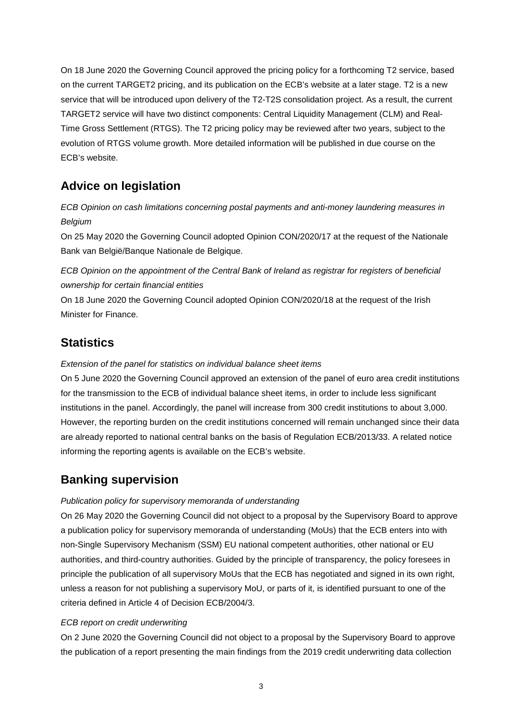On 18 June 2020 the Governing Council approved the pricing policy for a forthcoming T2 service, based on the current TARGET2 pricing, and its publication on the ECB's website at a later stage. T2 is a new service that will be introduced upon delivery of the T2-T2S consolidation project. As a result, the current TARGET2 service will have two distinct components: Central Liquidity Management (CLM) and Real-Time Gross Settlement (RTGS). The T2 pricing policy may be reviewed after two years, subject to the evolution of RTGS volume growth. More detailed information will be published in due course on the ECB's website.

# **Advice on legislation**

*ECB Opinion on cash limitations concerning postal payments and anti-money laundering measures in Belgium* 

On 25 May 2020 the Governing Council adopted Opinion CON/2020/17 at the request of the Nationale Bank van België/Banque Nationale de Belgique.

*ECB Opinion on the appointment of the Central Bank of Ireland as registrar for registers of beneficial ownership for certain financial entities* 

On 18 June 2020 the Governing Council adopted Opinion CON/2020/18 at the request of the Irish Minister for Finance.

# **Statistics**

### *Extension of the panel for statistics on individual balance sheet items*

On 5 June 2020 the Governing Council approved an extension of the panel of euro area credit institutions for the transmission to the ECB of individual balance sheet items, in order to include less significant institutions in the panel. Accordingly, the panel will increase from 300 credit institutions to about 3,000. However, the reporting burden on the credit institutions concerned will remain unchanged since their data are already reported to national central banks on the basis of Regulation ECB/2013/33. A related notice informing the reporting agents is available on the ECB's website.

# **Banking supervision**

### *Publication policy for supervisory memoranda of understanding*

On 26 May 2020 the Governing Council did not object to a proposal by the Supervisory Board to approve a publication policy for supervisory memoranda of understanding (MoUs) that the ECB enters into with non-Single Supervisory Mechanism (SSM) EU national competent authorities, other national or EU authorities, and third-country authorities. Guided by the principle of transparency, the policy foresees in principle the publication of all supervisory MoUs that the ECB has negotiated and signed in its own right, unless a reason for not publishing a supervisory MoU, or parts of it, is identified pursuant to one of the criteria defined in Article 4 of Decision ECB/2004/3.

### *ECB report on credit underwriting*

On 2 June 2020 the Governing Council did not object to a proposal by the Supervisory Board to approve the publication of a report presenting the main findings from the 2019 credit underwriting data collection